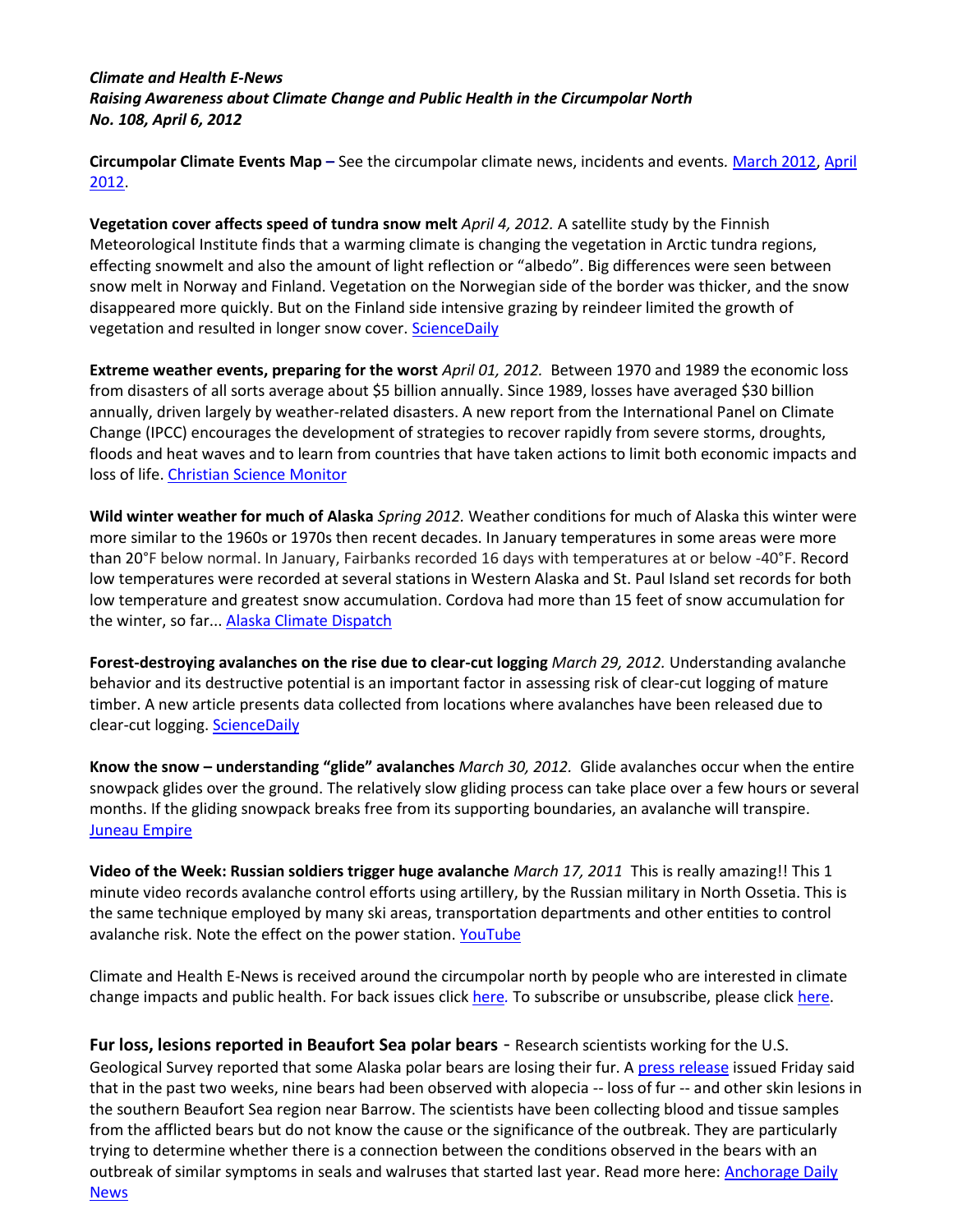## *Climate and Health E-News Raising Awareness about Climate Change and Public Health in the Circumpolar North No. 108, April 6, 2012*

**Circumpolar Climate Events Map –** See the circumpolar climate news, incidents and events*.* [March 2012,](http://maps.google.com/maps/ms?msid=206109945277656893915.0004ba4d764a18854f4e3&msa=0) [April](http://maps.google.com/maps/ms?msid=206109945277656893915.0004bcbb249f15ce9ba5f&msa=0&ll=66.791909,-124.453125&spn=38.287616,167.695313)  [2012.](http://maps.google.com/maps/ms?msid=206109945277656893915.0004bcbb249f15ce9ba5f&msa=0&ll=66.791909,-124.453125&spn=38.287616,167.695313)

**Vegetation cover affects speed of tundra snow melt** *April 4, 2012.* A satellite study by the Finnish Meteorological Institute finds that a warming climate is changing the vegetation in Arctic tundra regions, effecting snowmelt and also the amount of light reflection or "albedo". Big differences were seen between snow melt in Norway and Finland. Vegetation on the Norwegian side of the border was thicker, and the snow disappeared more quickly. But on the Finland side intensive grazing by reindeer limited the growth of vegetation and resulted in longer snow cover[. ScienceDaily](http://www.sciencedaily.com/releases/2012/04/120404102257.htm)

**Extreme weather events, preparing for the worst** *April 01, 2012.* Between 1970 and 1989 the economic loss from disasters of all sorts average about \$5 billion annually. Since 1989, losses have averaged \$30 billion annually, driven largely by weather-related disasters. A new report from the International Panel on Climate Change (IPCC) encourages the development of strategies to recover rapidly from severe storms, droughts, floods and heat waves and to learn from countries that have taken actions to limit both economic impacts and loss of life. [Christian Science Monitor](http://www.csmonitor.com/Environment/2012/0328/Climate-change-report-time-to-start-preparing-for-the-worst)

**Wild winter weather for much of Alaska** *Spring 2012.* Weather conditions for much of Alaska this winter were more similar to the 1960s or 1970s then recent decades. In January temperatures in some areas were more than 20°F below normal. In January, Fairbanks recorded 16 days with temperatures at or below -40°F. Record low temperatures were recorded at several stations in Western Alaska and St. Paul Island set records for both low temperature and greatest snow accumulation. Cordova had more than 15 feet of snow accumulation for the winter, so far... [Alaska Climate Dispatch](http://ine.uaf.edu/accap/documents/spring12_dispatch.pdf)

**Forest-destroying avalanches on the rise due to clear-cut logging** *March 29, 2012.* Understanding avalanche behavior and its destructive potential is an important factor in assessing risk of clear-cut logging of mature timber. A new article presents data collected from locations where avalanches have been released due to clear-cut logging[. ScienceDaily](http://www.sciencedaily.com/releases/2012/03/120329124711.htm)

**Know the snow – understanding "glide" avalanches** *March 30, 2012.* Glide avalanches occur when the entire snowpack glides over the ground. The relatively slow gliding process can take place over a few hours or several months. If the gliding snowpack breaks free from its supporting boundaries, an avalanche will transpire. [Juneau Empire](http://juneauempire.com/outdoors/2012-03-30/know-snow-glide-avalanches)

**Video of the Week: Russian soldiers trigger huge avalanche** *March 17, 2011* This is really amazing!! This 1 minute video records avalanche control efforts using artillery, by the Russian military in North Ossetia. This is the same technique employed by many ski areas, transportation departments and other entities to control avalanche risk. Note the effect on the power station. [YouTube](http://www.youtube.com/watch?v=32b9m7CeJfQ)

Climate and Health E-News is received around the circumpolar north by people who are interested in climate change impacts and public health. For back issues clic[k here](http://www.arctichealth.org/docs/ClimateHealthEnews/ClimateHealthEnews.html)*.* To subscribe or unsubscribe, please clic[k here.](http://www.anthc.org/chs/ces/climate/listserv.cfm)

**Fur loss, lesions reported in Beaufort Sea polar bears** - Research scientists working for the U.S. Geological Survey reported that some Alaska polar bears are losing their fur. A [press release](http://www.usgs.gov/newsroom/article.asp?ID=3162) issued Friday said that in the past two weeks, nine bears had been observed with alopecia -- loss of fur -- and other skin lesions in the southern Beaufort Sea region near Barrow. The scientists have been collecting blood and tissue samples from the afflicted bears but do not know the cause or the significance of the outbreak. They are particularly trying to determine whether there is a connection between the conditions observed in the bears with an outbreak of similar symptoms in seals and walruses that started last year. Read more here: Anchorage Daily [News](http://www.adn.com/2012/04/06/2410648/barrow-bears-losing-their-hair.html?story_link=email_msg)